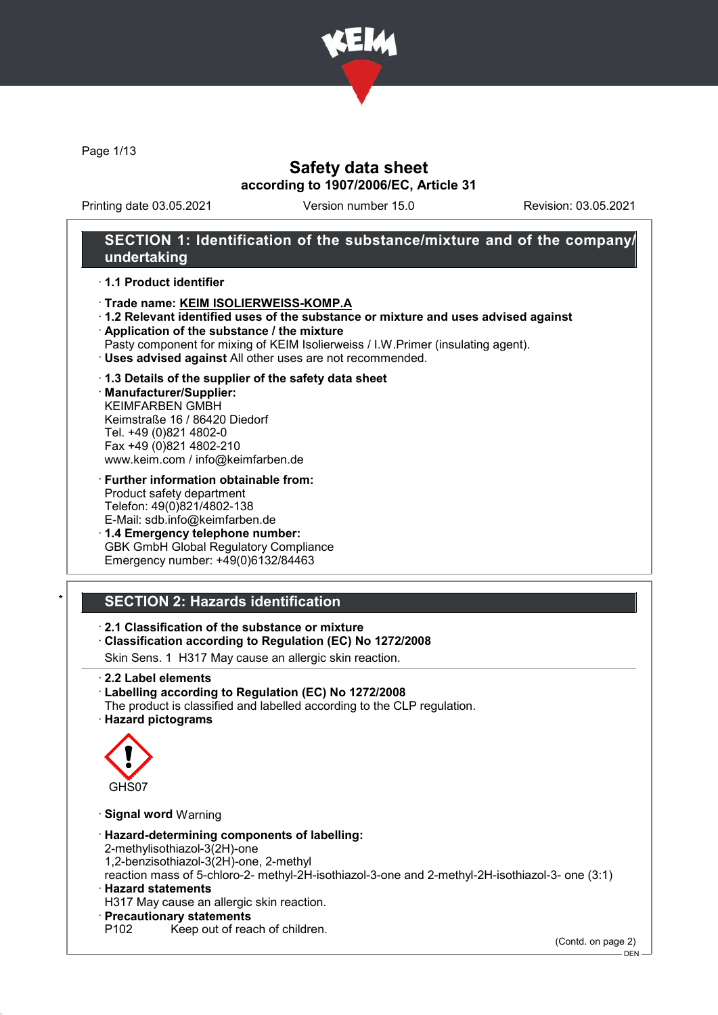

Page 1/13

# Safety data sheet according to 1907/2006/EC, Article 31

Printing date 03.05.2021 Version number 15.0 Revision: 03.05.2021

## SECTION 1: Identification of the substance/mixture and of the company/ undertaking

#### · 1.1 Product identifier

- · Trade name: KEIM ISOLIERWEISS-KOMP.A
- · 1.2 Relevant identified uses of the substance or mixture and uses advised against
- · Application of the substance / the mixture
- Pasty component for mixing of KEIM Isolierweiss / I.W.Primer (insulating agent).
- · Uses advised against All other uses are not recommended.

#### · 1.3 Details of the supplier of the safety data sheet

· Manufacturer/Supplier: KEIMFARBEN GMBH Keimstraße 16 / 86420 Diedorf Tel. +49 (0)821 4802-0 Fax +49 (0)821 4802-210 www.keim.com / info@keimfarben.de

· Further information obtainable from: Product safety department Telefon: 49(0)821/4802-138 E-Mail: sdb.info@keimfarben.de

· 1.4 Emergency telephone number: GBK GmbH Global Regulatory Compliance Emergency number: +49(0)6132/84463

# **SECTION 2: Hazards identification**

## · 2.1 Classification of the substance or mixture

### · Classification according to Regulation (EC) No 1272/2008

Skin Sens. 1 H317 May cause an allergic skin reaction.

· 2.2 Label elements

#### · Labelling according to Regulation (EC) No 1272/2008

The product is classified and labelled according to the CLP regulation. · Hazard pictograms



· Signal word Warning

- · Hazard-determining components of labelling:
- 2-methylisothiazol-3(2H)-one
- 1,2-benzisothiazol-3(2H)-one, 2-methyl

reaction mass of 5-chloro-2- methyl-2H-isothiazol-3-one and 2-methyl-2H-isothiazol-3- one (3:1) · Hazard statements

- H317 May cause an allergic skin reaction.
- · **Precautionary statements**<br>P102 Keep out of rea
	- Keep out of reach of children.

(Contd. on page 2)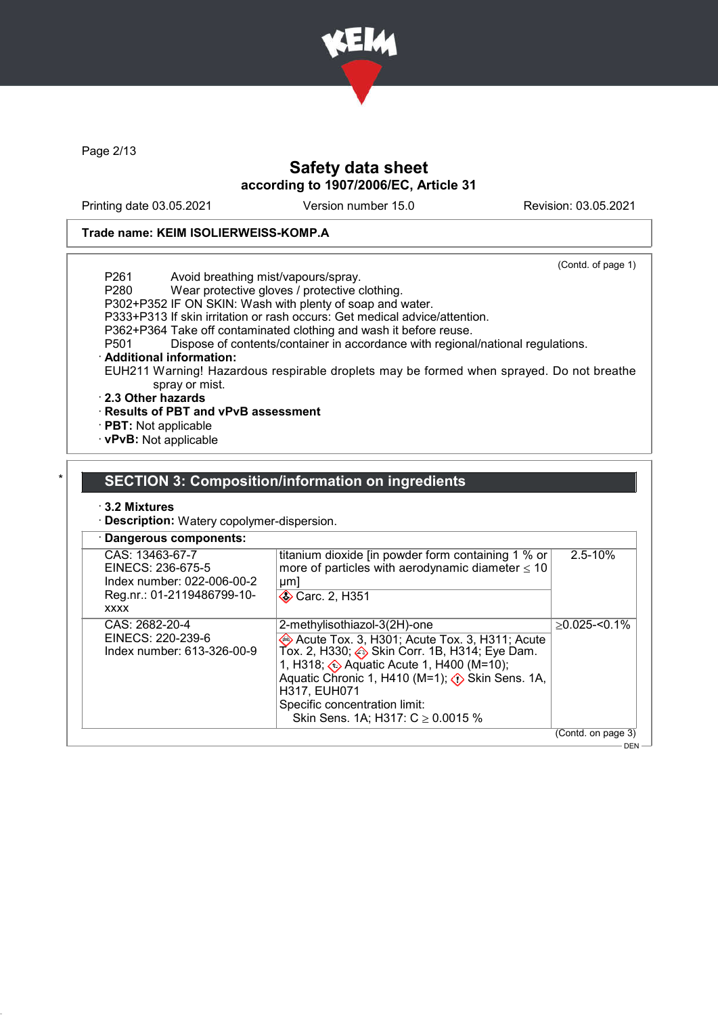

Page 2/13

# Safety data sheet according to 1907/2006/EC, Article 31

Printing date 03.05.2021 Version number 15.0 Revision: 03.05.2021

#### Trade name: KEIM ISOLIERWEISS-KOMP.A

(Contd. of page 1) P261 Avoid breathing mist/vapours/spray.<br>P280 Wear protective gloves / protective of Wear protective gloves / protective clothing. P302+P352 IF ON SKIN: Wash with plenty of soap and water. P333+P313 If skin irritation or rash occurs: Get medical advice/attention. P362+P364 Take off contaminated clothing and wash it before reuse.<br>P501 Dispose of contents/container in accordance with regiona Dispose of contents/container in accordance with regional/national regulations. · Additional information: EUH211 Warning! Hazardous respirable droplets may be formed when sprayed. Do not breathe spray or mist. · 2.3 Other hazards · Results of PBT and vPvB assessment

· PBT: Not applicable · vPvB: Not applicable

### SECTION 3: Composition/information on ingredients

#### · 3.2 Mixtures

· Description: Watery copolymer-dispersion.

| titanium dioxide [in powder form containing 1 % or<br>CAS: 13463-67-7<br>more of particles with aerodynamic diameter $\leq 10$<br>EINECS: 236-675-5<br>Index number: 022-006-00-2<br>$\mu$ m<br>Reg.nr.: 01-2119486799-10-<br><b>◆ Carc. 2, H351</b><br><b>XXXX</b><br>CAS: 2682-20-4<br>2-methylisothiazol-3(2H)-one<br>EINECS: 220-239-6<br>Acute Tox. 3, H301; Acute Tox. 3, H311; Acute<br>Tox. 2, H330; Skin Corr. 1B, H314; Eye Dam.<br>Index number: 613-326-00-9<br>1, H318; $\leftrightarrow$ Aquatic Acute 1, H400 (M=10);<br>Aquatic Chronic 1, H410 (M=1); $\langle \cdot \rangle$ Skin Sens. 1A,<br>H317, EUH071 |                               |                               | · Dangerous components: |
|-------------------------------------------------------------------------------------------------------------------------------------------------------------------------------------------------------------------------------------------------------------------------------------------------------------------------------------------------------------------------------------------------------------------------------------------------------------------------------------------------------------------------------------------------------------------------------------------------------------------------------|-------------------------------|-------------------------------|-------------------------|
|                                                                                                                                                                                                                                                                                                                                                                                                                                                                                                                                                                                                                               | $2.5 - 10%$                   |                               |                         |
| Skin Sens. 1A; H317: $C \ge 0.0015$ %                                                                                                                                                                                                                                                                                                                                                                                                                                                                                                                                                                                         | $>0.025 - 0.1\%$              | Specific concentration limit: |                         |
|                                                                                                                                                                                                                                                                                                                                                                                                                                                                                                                                                                                                                               | (Contd. on page 3)<br>DEN $-$ |                               |                         |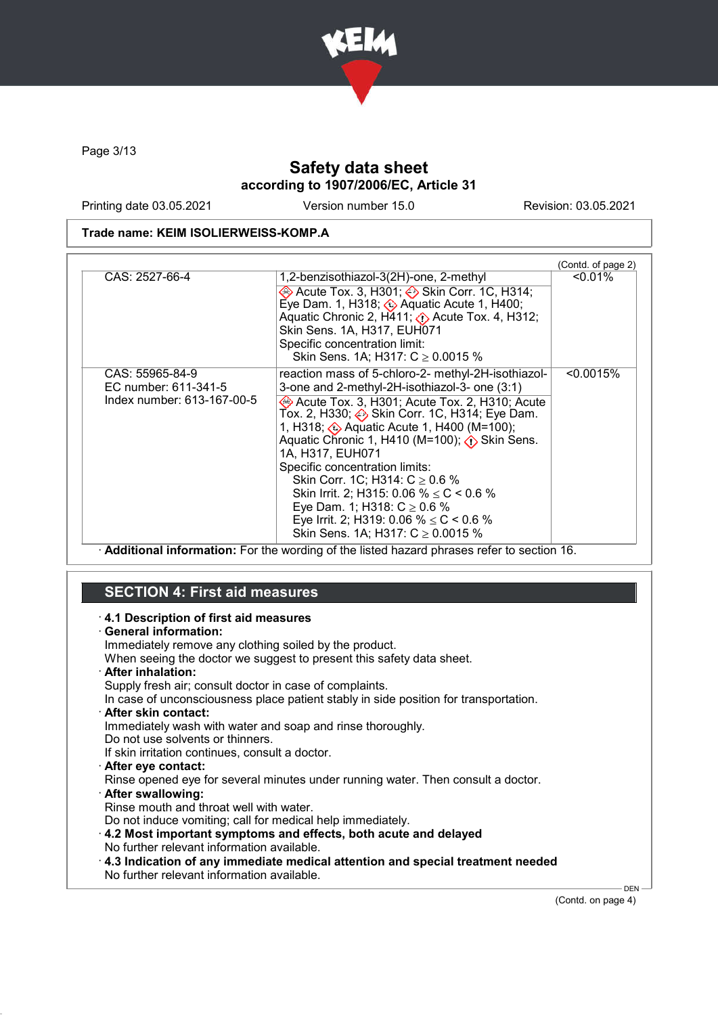

Page 3/13

# Safety data sheet according to 1907/2006/EC, Article 31

Printing date 03.05.2021 Version number 15.0 Revision: 03.05.2021

#### Trade name: KEIM ISOLIERWEISS-KOMP.A

| CAS: 2527-66-4                                                        |                                                                                                                                                                                                                                                                                                                                                                                                                                                                                                                                                                                              | (Contd. of page 2)<br>$< 0.01\%$ |
|-----------------------------------------------------------------------|----------------------------------------------------------------------------------------------------------------------------------------------------------------------------------------------------------------------------------------------------------------------------------------------------------------------------------------------------------------------------------------------------------------------------------------------------------------------------------------------------------------------------------------------------------------------------------------------|----------------------------------|
|                                                                       | 1,2-benzisothiazol-3(2H)-one, 2-methyl<br>→ Acute Tox. 3, H301; → Skin Corr. 1C, H314;<br>Eye Dam. 1, H318; $\otimes$ Aquatic Acute 1, H400;<br>Aquatic Chronic 2, $H$ 411; $\langle \rangle$ Acute Tox. 4, H312;<br>Skin Sens. 1A, H317, EUH071<br>Specific concentration limit:<br>Skin Sens. 1A; H317: $C \ge 0.0015$ %                                                                                                                                                                                                                                                                   |                                  |
| CAS: 55965-84-9<br>EC number: 611-341-5<br>Index number: 613-167-00-5 | reaction mass of 5-chloro-2- methyl-2H-isothiazol-<br>3-one and 2-methyl-2H-isothiazol-3- one (3:1)<br>Acute Tox. 3, H301; Acute Tox. 2, H310; Acute<br>Tox. 2, H330; Skin Corr. 1C, H314; Eye Dam.<br>1, H318; Aquatic Acute 1, H400 (M=100);<br>Aquatic Chronic 1, H410 (M=100); $\langle \cdot \rangle$ Skin Sens.<br>1A, H317, EUH071<br>Specific concentration limits:<br>Skin Corr. 1C; H314: $C \ge 0.6$ %<br>Skin Irrit. 2; H315: 0.06 % $\leq$ C < 0.6 %<br>Eye Dam. 1; H318: $C \ge 0.6$ %<br>Eye Irrit. 2; H319: 0.06 % $\leq$ C < 0.6 %<br>Skin Sens. 1A; H317: $C \ge 0.0015$ % | < 0.0015%                        |

· Additional information: For the wording of the listed hazard phrases refer to section 16.

#### SECTION 4: First aid measures · 4.1 Description of first aid measures · General information: Immediately remove any clothing soiled by the product. When seeing the doctor we suggest to present this safety data sheet. · After inhalation: Supply fresh air; consult doctor in case of complaints. In case of unconsciousness place patient stably in side position for transportation. · After skin contact: Immediately wash with water and soap and rinse thoroughly. Do not use solvents or thinners. If skin irritation continues, consult a doctor. · After eye contact: Rinse opened eye for several minutes under running water. Then consult a doctor. · After swallowing: Rinse mouth and throat well with water. Do not induce vomiting; call for medical help immediately. · 4.2 Most important symptoms and effects, both acute and delayed No further relevant information available. · 4.3 Indication of any immediate medical attention and special treatment needed No further relevant information available. DEN

(Contd. on page 4)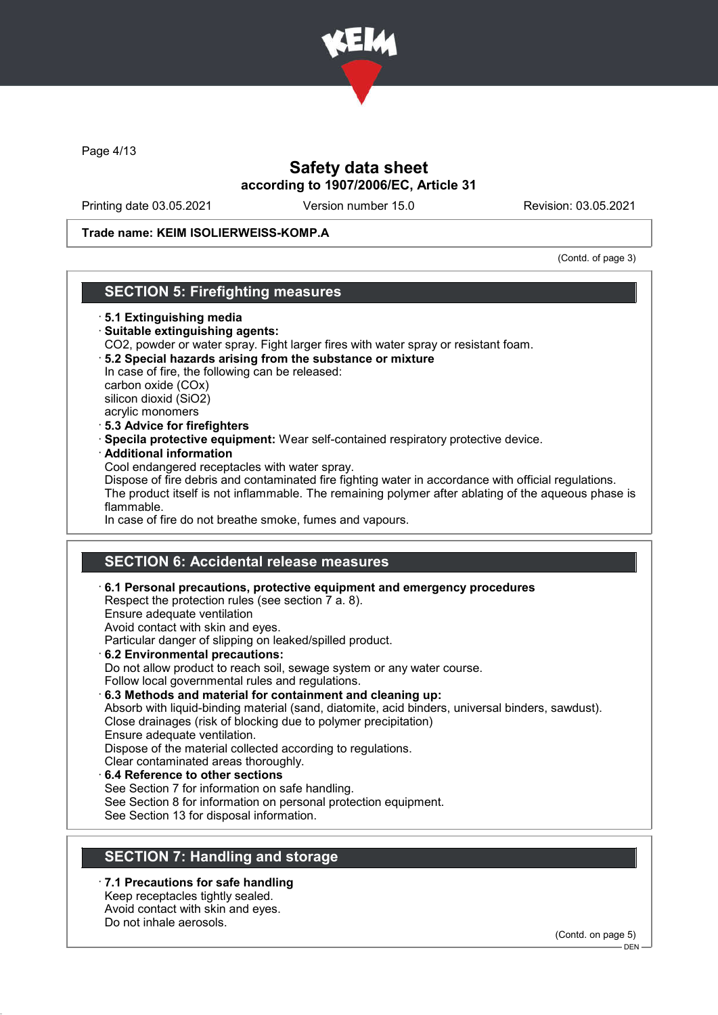

Page 4/13

# Safety data sheet according to 1907/2006/EC, Article 31

Printing date 03.05.2021 Version number 15.0 Revision: 03.05.2021

#### Trade name: KEIM ISOLIERWEISS-KOMP.A

(Contd. of page 3)

## SECTION 5: Firefighting measures

- · 5.1 Extinguishing media
- · Suitable extinguishing agents:
- CO2, powder or water spray. Fight larger fires with water spray or resistant foam.
- · 5.2 Special hazards arising from the substance or mixture In case of fire, the following can be released: carbon oxide (COx) silicon dioxid (SiO2)

acrylic monomers · 5.3 Advice for firefighters

- · Specila protective equipment: Wear self-contained respiratory protective device.
- · Additional information

Cool endangered receptacles with water spray.

Dispose of fire debris and contaminated fire fighting water in accordance with official regulations. The product itself is not inflammable. The remaining polymer after ablating of the aqueous phase is flammable.

In case of fire do not breathe smoke, fumes and vapours.

# SECTION 6: Accidental release measures

· 6.1 Personal precautions, protective equipment and emergency procedures

Respect the protection rules (see section 7 a. 8).

Ensure adequate ventilation

Avoid contact with skin and eyes.

Particular danger of slipping on leaked/spilled product.

- · 6.2 Environmental precautions: Do not allow product to reach soil, sewage system or any water course. Follow local governmental rules and regulations.
- · 6.3 Methods and material for containment and cleaning up: Absorb with liquid-binding material (sand, diatomite, acid binders, universal binders, sawdust). Close drainages (risk of blocking due to polymer precipitation) Ensure adequate ventilation. Dispose of the material collected according to regulations. Clear contaminated areas thoroughly. 6.4 Reference to other sections
- See Section 7 for information on safe handling. See Section 8 for information on personal protection equipment. See Section 13 for disposal information.

# SECTION 7: Handling and storage

· 7.1 Precautions for safe handling Keep receptacles tightly sealed. Avoid contact with skin and eyes. Do not inhale aerosols.

(Contd. on page 5)

 $-$  DEN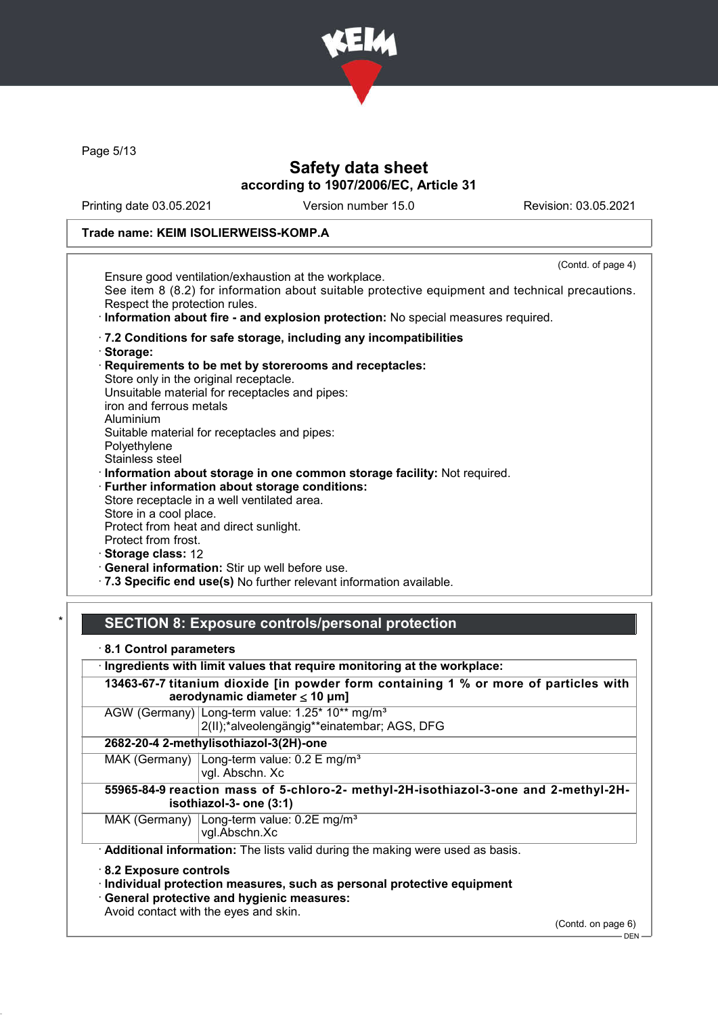

Page 5/13

# Safety data sheet according to 1907/2006/EC, Article 31

Printing date 03.05.2021 Version number 15.0 Revision: 03.05.2021

#### Trade name: KEIM ISOLIERWEISS-KOMP.A

| Ensure good ventilation/exhaustion at the workplace.<br>See item 8 (8.2) for information about suitable protective equipment and technical precautions.<br>Respect the protection rules.<br>· Information about fire - and explosion protection: No special measures required.<br>.7.2 Conditions for safe storage, including any incompatibilities |
|-----------------------------------------------------------------------------------------------------------------------------------------------------------------------------------------------------------------------------------------------------------------------------------------------------------------------------------------------------|
|                                                                                                                                                                                                                                                                                                                                                     |
|                                                                                                                                                                                                                                                                                                                                                     |
|                                                                                                                                                                                                                                                                                                                                                     |
|                                                                                                                                                                                                                                                                                                                                                     |
| · Storage:                                                                                                                                                                                                                                                                                                                                          |
| Requirements to be met by storerooms and receptacles:                                                                                                                                                                                                                                                                                               |
| Store only in the original receptacle.                                                                                                                                                                                                                                                                                                              |
| Unsuitable material for receptacles and pipes:                                                                                                                                                                                                                                                                                                      |
| iron and ferrous metals                                                                                                                                                                                                                                                                                                                             |
| Aluminium                                                                                                                                                                                                                                                                                                                                           |
| Suitable material for receptacles and pipes:                                                                                                                                                                                                                                                                                                        |
| Polyethylene                                                                                                                                                                                                                                                                                                                                        |
| Stainless steel                                                                                                                                                                                                                                                                                                                                     |
| · Information about storage in one common storage facility: Not required.                                                                                                                                                                                                                                                                           |
| · Further information about storage conditions:                                                                                                                                                                                                                                                                                                     |
| Store receptacle in a well ventilated area.                                                                                                                                                                                                                                                                                                         |
| Store in a cool place.                                                                                                                                                                                                                                                                                                                              |
| Protect from heat and direct sunlight.                                                                                                                                                                                                                                                                                                              |
| Protect from frost.                                                                                                                                                                                                                                                                                                                                 |
| Storage class: 12                                                                                                                                                                                                                                                                                                                                   |
| · General information: Stir up well before use.                                                                                                                                                                                                                                                                                                     |
| · 7.3 Specific end use(s) No further relevant information available.                                                                                                                                                                                                                                                                                |

## SECTION 8: Exposure controls/personal protection

· 8.1 Control parameters

· Ingredients with limit values that require monitoring at the workplace:

13463-67-7 titanium dioxide [in powder form containing 1 % or more of particles with aerodynamic diameter ≤ 10 μm]

AGW (Germany) Long-term value: 1.25\* 10\*\* mg/m<sup>3</sup> 2(II);\*alveolengängig\*\*einatembar; AGS, DFG

#### 2682-20-4 2-methylisothiazol-3(2H)-one

MAK (Germany) Long-term value: 0.2 E mg/m<sup>3</sup> vgl. Abschn. Xc

55965-84-9 reaction mass of 5-chloro-2- methyl-2H-isothiazol-3-one and 2-methyl-2Hisothiazol-3- one (3:1)

MAK (Germany) Long-term value: 0.2E mg/m<sup>3</sup>

vgl.Abschn.Xc

Additional information: The lists valid during the making were used as basis.

· 8.2 Exposure controls

· Individual protection measures, such as personal protective equipment

· General protective and hygienic measures:

Avoid contact with the eyes and skin.

(Contd. on page 6)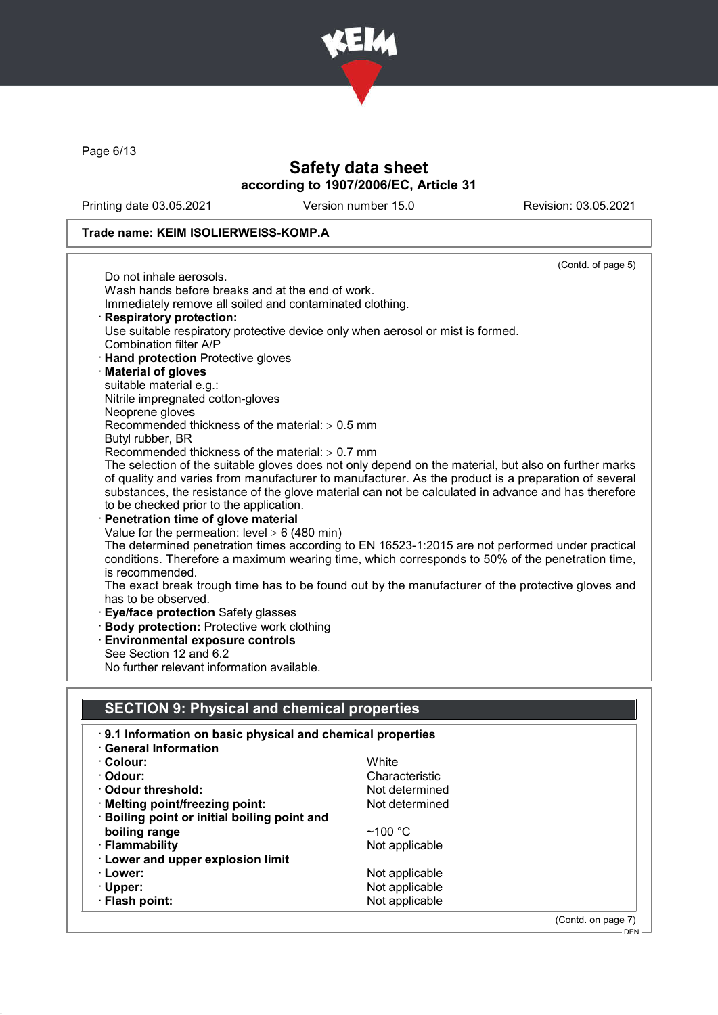

Page 6/13

# Safety data sheet according to 1907/2006/EC, Article 31

Printing date 03.05.2021 Version number 15.0 Revision: 03.05.2021

## Trade name: KEIM ISOLIERWEISS-KOMP.A

|                                                                                                 | (Contd. of page 5)                                                                                   |  |  |
|-------------------------------------------------------------------------------------------------|------------------------------------------------------------------------------------------------------|--|--|
| Do not inhale aerosols.                                                                         |                                                                                                      |  |  |
| Wash hands before breaks and at the end of work.                                                |                                                                                                      |  |  |
| Immediately remove all soiled and contaminated clothing.                                        |                                                                                                      |  |  |
| <b>Respiratory protection:</b>                                                                  |                                                                                                      |  |  |
| Use suitable respiratory protective device only when aerosol or mist is formed.                 |                                                                                                      |  |  |
| Combination filter A/P                                                                          |                                                                                                      |  |  |
| <b>Hand protection Protective gloves</b>                                                        |                                                                                                      |  |  |
| <b>Material of gloves</b>                                                                       |                                                                                                      |  |  |
| suitable material e.g.:                                                                         |                                                                                                      |  |  |
| Nitrile impregnated cotton-gloves                                                               |                                                                                                      |  |  |
| Neoprene gloves                                                                                 |                                                                                                      |  |  |
| Recommended thickness of the material: $\geq 0.5$ mm                                            |                                                                                                      |  |  |
| Butyl rubber, BR                                                                                |                                                                                                      |  |  |
| Recommended thickness of the material: $\geq 0.7$ mm                                            |                                                                                                      |  |  |
|                                                                                                 | The selection of the suitable gloves does not only depend on the material, but also on further marks |  |  |
|                                                                                                 | of quality and varies from manufacturer to manufacturer. As the product is a preparation of several  |  |  |
|                                                                                                 | substances, the resistance of the glove material can not be calculated in advance and has therefore  |  |  |
| to be checked prior to the application.                                                         |                                                                                                      |  |  |
| Penetration time of glove material                                                              |                                                                                                      |  |  |
| Value for the permeation: level $\geq 6$ (480 min)                                              |                                                                                                      |  |  |
|                                                                                                 | The determined penetration times according to EN 16523-1:2015 are not performed under practical      |  |  |
| conditions. Therefore a maximum wearing time, which corresponds to 50% of the penetration time, |                                                                                                      |  |  |
|                                                                                                 | is recommended.                                                                                      |  |  |
|                                                                                                 | The exact break trough time has to be found out by the manufacturer of the protective gloves and     |  |  |
| has to be observed.                                                                             |                                                                                                      |  |  |
| Eye/face protection Safety glasses                                                              |                                                                                                      |  |  |
| <b>Body protection: Protective work clothing</b>                                                |                                                                                                      |  |  |
| <b>Environmental exposure controls</b><br>See Section 12 and 6.2                                |                                                                                                      |  |  |
| No further relevant information available.                                                      |                                                                                                      |  |  |
|                                                                                                 |                                                                                                      |  |  |
|                                                                                                 |                                                                                                      |  |  |
| <b>SECTION 9: Physical and chemical properties</b>                                              |                                                                                                      |  |  |
|                                                                                                 |                                                                                                      |  |  |
| 9.1 Information on basic physical and chemical properties                                       |                                                                                                      |  |  |
| <b>General Information</b>                                                                      |                                                                                                      |  |  |
| $\cdot$ Colour:                                                                                 | White                                                                                                |  |  |
| · Odour:                                                                                        | Characteristic                                                                                       |  |  |
| ⋅ Odour threshold:                                                                              | Not determined                                                                                       |  |  |
| · Melting point/freezing point:                                                                 | Not determined                                                                                       |  |  |
| Boiling point or initial boiling point and                                                      |                                                                                                      |  |  |
| boiling range                                                                                   | ~100 $°C$                                                                                            |  |  |
| · Flammability                                                                                  | Not applicable                                                                                       |  |  |
| · Lower and upper explosion limit                                                               |                                                                                                      |  |  |
| · Lower:                                                                                        | Not applicable                                                                                       |  |  |
| · Upper:                                                                                        | Not applicable                                                                                       |  |  |
| · Flash point:                                                                                  | Not applicable                                                                                       |  |  |
|                                                                                                 |                                                                                                      |  |  |

(Contd. on page 7)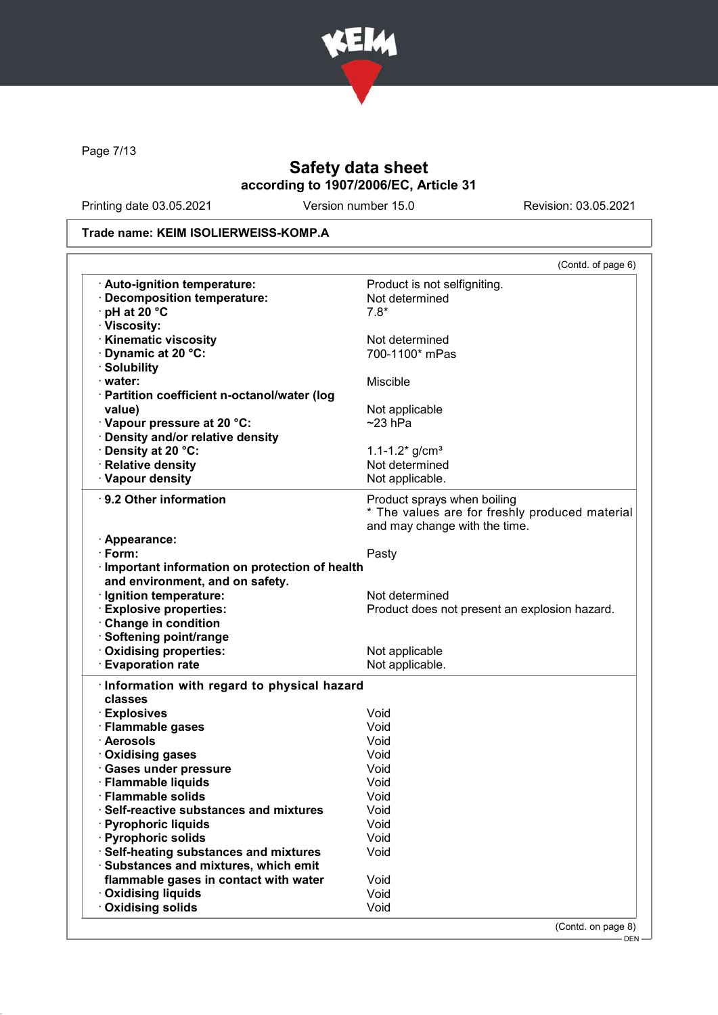

Page 7/13

# Safety data sheet according to 1907/2006/EC, Article 31

Printing date 03.05.2021 Version number 15.0 Revision: 03.05.2021

### Trade name: KEIM ISOLIERWEISS-KOMP.A

|                                                 | (Contd. of page 6)                             |
|-------------------------------------------------|------------------------------------------------|
| · Auto-ignition temperature:                    | Product is not selfigniting.                   |
| · Decomposition temperature:                    | Not determined                                 |
| $\cdot$ pH at 20 $\degree$ C                    | $7.8*$                                         |
| · Viscosity:                                    |                                                |
| <b>Kinematic viscosity</b>                      | Not determined                                 |
| Dynamic at 20 °C:                               | 700-1100* mPas                                 |
| · Solubility                                    |                                                |
| · water:                                        | Miscible                                       |
| · Partition coefficient n-octanol/water (log    |                                                |
| value)                                          | Not applicable                                 |
| · Vapour pressure at 20 °C:                     | $~23$ hPa                                      |
| · Density and/or relative density               |                                                |
| · Density at 20 °C:                             | $1.1 - 1.2$ * g/cm <sup>3</sup>                |
| · Relative density                              | Not determined                                 |
| · Vapour density                                | Not applicable.                                |
| ⋅ 9.2 Other information                         | Product sprays when boiling                    |
|                                                 | * The values are for freshly produced material |
|                                                 | and may change with the time.                  |
| · Appearance:                                   |                                                |
| $\cdot$ Form:                                   | Pasty                                          |
| · Important information on protection of health |                                                |
| and environment, and on safety.                 |                                                |
| · Ignition temperature:                         | Not determined                                 |
| <b>Explosive properties:</b>                    | Product does not present an explosion hazard.  |
| Change in condition                             |                                                |
| · Softening point/range                         |                                                |
| · Oxidising properties:                         | Not applicable                                 |
| <b>Evaporation rate</b>                         | Not applicable.                                |
|                                                 |                                                |
| Information with regard to physical hazard      |                                                |
| classes                                         |                                                |
| · Explosives                                    | Void                                           |
| · Flammable gases                               | Void                                           |
| · Aerosols                                      | Void                                           |
| · Oxidising gases                               | Void                                           |
| · Gases under pressure                          | Void                                           |
| · Flammable liquids                             | Void                                           |
| · Flammable solids                              | Void                                           |
| <b>Self-reactive substances and mixtures</b>    | Void                                           |
| · Pyrophoric liquids                            | Void                                           |
| · Pyrophoric solids                             | Void                                           |
| Self-heating substances and mixtures            | Void                                           |
| · Substances and mixtures, which emit           |                                                |
| flammable gases in contact with water           | Void                                           |
|                                                 |                                                |
| <b>Oxidising liquids</b><br>Oxidising solids    | Void<br>Void                                   |

DEN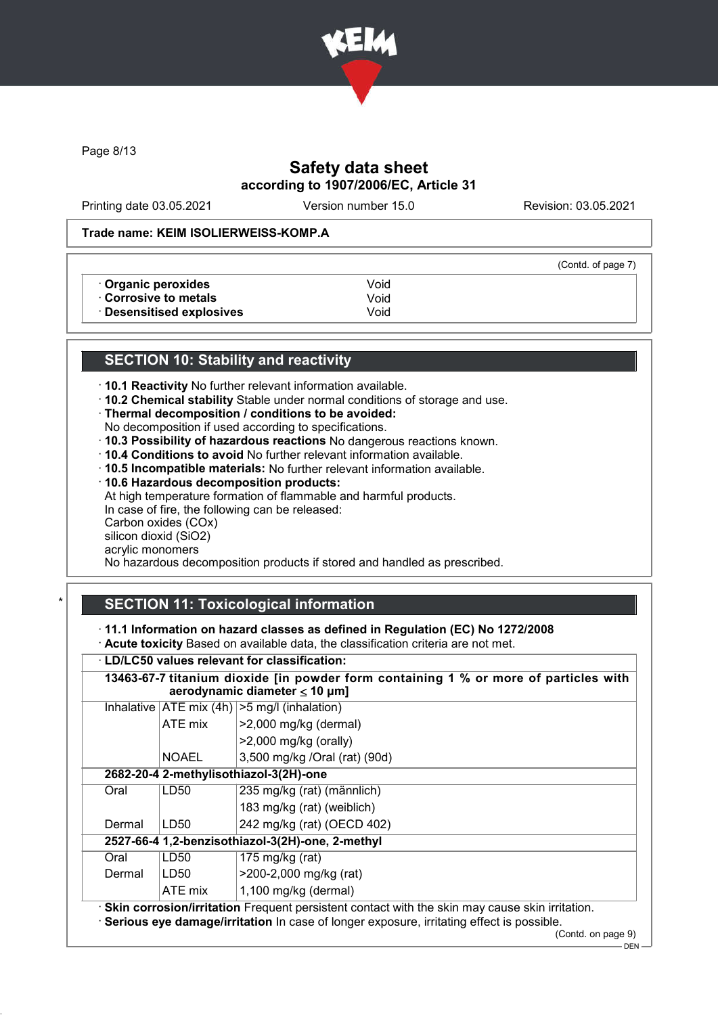

Page 8/13

# Safety data sheet according to 1907/2006/EC, Article 31

Printing date 03.05.2021 Version number 15.0 Revision: 03.05.2021

(Contd. of page 7)

#### Trade name: KEIM ISOLIERWEISS-KOMP.A

• **Organic peroxides** Void<br>• **Corrosive to metals** Void

· Corrosive to metals Void Desensitised explosives

# SECTION 10: Stability and reactivity

· 10.1 Reactivity No further relevant information available.

· 10.2 Chemical stability Stable under normal conditions of storage and use.

· Thermal decomposition / conditions to be avoided:

- No decomposition if used according to specifications.
- · 10.3 Possibility of hazardous reactions No dangerous reactions known.
- · 10.4 Conditions to avoid No further relevant information available.
- · 10.5 Incompatible materials: No further relevant information available.
- · 10.6 Hazardous decomposition products:

At high temperature formation of flammable and harmful products. In case of fire, the following can be released: Carbon oxides (COx)

silicon dioxid (SiO2)

acrylic monomers

No hazardous decomposition products if stored and handled as prescribed.

# **SECTION 11: Toxicological information**

· 11.1 Information on hazard classes as defined in Regulation (EC) No 1272/2008

· Acute toxicity Based on available data, the classification criteria are not met.

# · LD/LC50 values relevant for classification:

| <b>LD/LC50 values relevant for classification:</b>                                                                         |                                                                     |                                                                                                                                                                                                |  |  |
|----------------------------------------------------------------------------------------------------------------------------|---------------------------------------------------------------------|------------------------------------------------------------------------------------------------------------------------------------------------------------------------------------------------|--|--|
| 13463-67-7 titanium dioxide [in powder form containing 1 % or more of particles with<br>aerodynamic diameter $\leq 10$ µm] |                                                                     |                                                                                                                                                                                                |  |  |
|                                                                                                                            | Inhalative $ ATE \text{ mix } (4h)  > 5 \text{ mg/l } (inhalation)$ |                                                                                                                                                                                                |  |  |
|                                                                                                                            | ATE mix                                                             | >2,000 mg/kg (dermal)                                                                                                                                                                          |  |  |
|                                                                                                                            |                                                                     | $>2,000$ mg/kg (orally)                                                                                                                                                                        |  |  |
|                                                                                                                            | <b>NOAEL</b>                                                        | 3,500 mg/kg /Oral (rat) (90d)                                                                                                                                                                  |  |  |
| 2682-20-4 2-methylisothiazol-3(2H)-one                                                                                     |                                                                     |                                                                                                                                                                                                |  |  |
| Oral                                                                                                                       | LD50<br>235 mg/kg (rat) (männlich)                                  |                                                                                                                                                                                                |  |  |
|                                                                                                                            | 183 mg/kg (rat) (weiblich)                                          |                                                                                                                                                                                                |  |  |
| Dermal                                                                                                                     | LD50                                                                | 242 mg/kg (rat) (OECD 402)                                                                                                                                                                     |  |  |
| 2527-66-4 1,2-benzisothiazol-3(2H)-one, 2-methyl                                                                           |                                                                     |                                                                                                                                                                                                |  |  |
| Oral                                                                                                                       | LD <sub>50</sub>                                                    | 175 mg/kg (rat)                                                                                                                                                                                |  |  |
| Dermal                                                                                                                     | LD50                                                                | >200-2,000 mg/kg (rat)                                                                                                                                                                         |  |  |
|                                                                                                                            | ATE mix                                                             | $1,100$ mg/kg (dermal)                                                                                                                                                                         |  |  |
|                                                                                                                            |                                                                     | · Skin corrosion/irritation Frequent persistent contact with the skin may cause skin irritation.<br>· Serious eye damage/irritation In case of longer exposure, irritating effect is possible. |  |  |

(Contd. on page 9)

 $-$  DEN $-$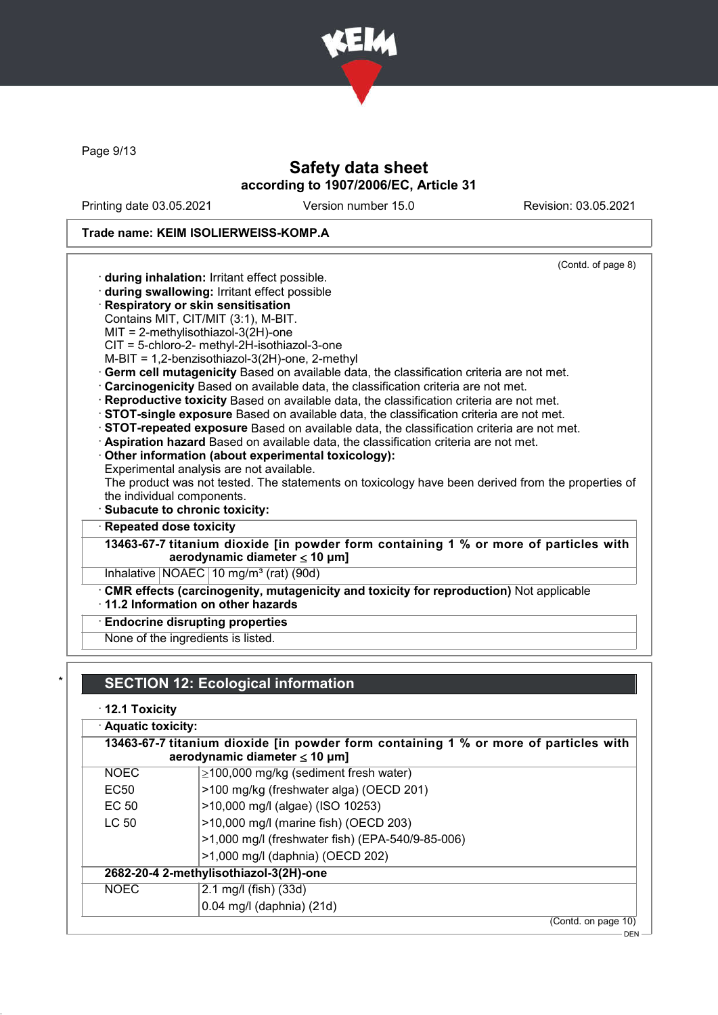

Page 9/13

# Safety data sheet according to 1907/2006/EC, Article 31

Printing date 03.05.2021 Version number 15.0 Revision: 03.05.2021

# Trade name: KEIM ISOLIERWEISS-KOMP.A

| (Contd. of page 8)                                                                                                         |
|----------------------------------------------------------------------------------------------------------------------------|
| during inhalation: Irritant effect possible.                                                                               |
| during swallowing: Irritant effect possible                                                                                |
| Respiratory or skin sensitisation                                                                                          |
| Contains MIT, CIT/MIT (3:1), M-BIT.                                                                                        |
| $MIT = 2-methylisothiazol-3(2H)-one$                                                                                       |
| CIT = 5-chloro-2- methyl-2H-isothiazol-3-one                                                                               |
| $M-BIT = 1,2-benzisothiazol-3(2H)-one, 2-methyl$                                                                           |
| Germ cell mutagenicity Based on available data, the classification criteria are not met.                                   |
| Carcinogenicity Based on available data, the classification criteria are not met.                                          |
| Reproductive toxicity Based on available data, the classification criteria are not met.                                    |
| STOT-single exposure Based on available data, the classification criteria are not met.                                     |
| STOT-repeated exposure Based on available data, the classification criteria are not met.                                   |
| Aspiration hazard Based on available data, the classification criteria are not met.                                        |
| Other information (about experimental toxicology):<br>Experimental analysis are not available.                             |
| The product was not tested. The statements on toxicology have been derived from the properties of                          |
| the individual components.                                                                                                 |
| · Subacute to chronic toxicity:                                                                                            |
| Repeated dose toxicity                                                                                                     |
| 13463-67-7 titanium dioxide [in powder form containing 1 % or more of particles with<br>aerodynamic diameter $\leq 10$ µm] |
| Inhalative $NOAEC$ 10 mg/m <sup>3</sup> (rat) (90d)                                                                        |
| CMR effects (carcinogenity, mutagenicity and toxicity for reproduction) Not applicable                                     |
| $\cdot$ 11.2 Information on other hazards                                                                                  |
| <b>Endocrine disrupting properties</b>                                                                                     |
| None of the ingredients is listed.                                                                                         |
|                                                                                                                            |

# $\boldsymbol{\mu}$ TION 12: Ecological information

# · 12.1 Toxicity

| $\cdot$ Aquatic toxicity: |                                                                                      |  |
|---------------------------|--------------------------------------------------------------------------------------|--|
|                           | 13463-67-7 titanium dioxide [in powder form containing 1 % or more of particles with |  |
|                           | aerodynamic diameter $\leq 10$ µm]                                                   |  |
| <b>NOEC</b>               | $\geq$ 100,000 mg/kg (sediment fresh water)                                          |  |
| EC <sub>50</sub>          | >100 mg/kg (freshwater alga) (OECD 201)                                              |  |
| EC 50                     | >10,000 mg/l (algae) (ISO 10253)                                                     |  |
| LC <sub>50</sub>          | >10,000 mg/l (marine fish) (OECD 203)                                                |  |
|                           | >1,000 mg/l (freshwater fish) (EPA-540/9-85-006)                                     |  |
|                           | >1,000 mg/l (daphnia) (OECD 202)                                                     |  |
|                           | 2682-20-4 2-methylisothiazol-3(2H)-one                                               |  |
| <b>NOEC</b>               | 2.1 mg/l (fish) (33d)                                                                |  |
|                           | $0.04$ mg/l (daphnia) (21d)                                                          |  |
|                           | (Contd. on page 10)                                                                  |  |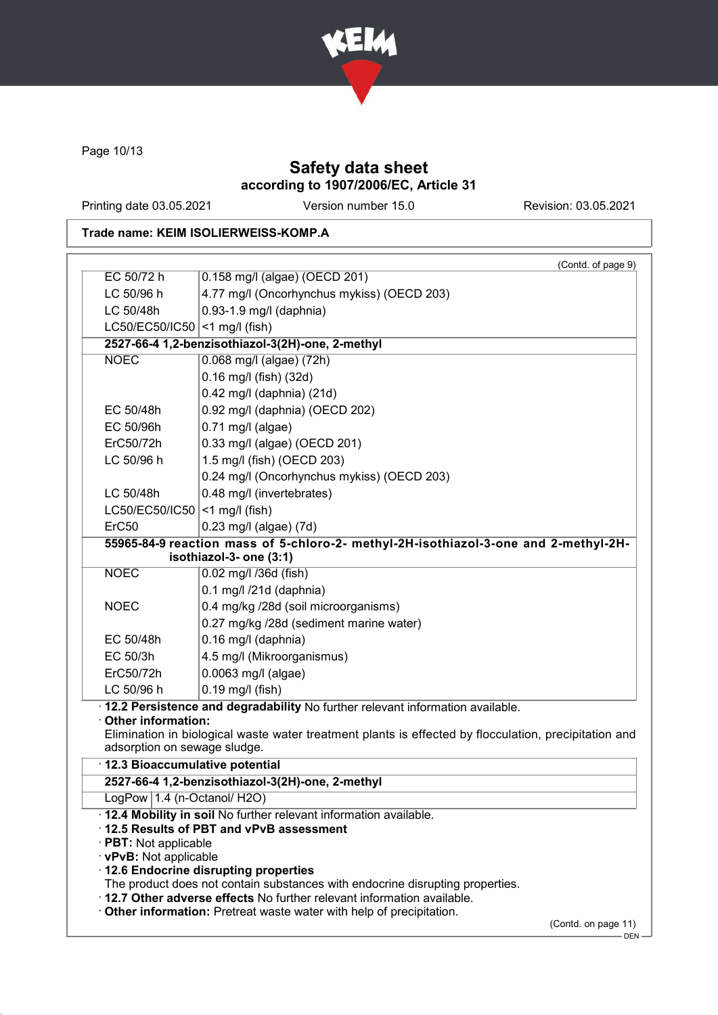

Page 10/13

# Safety data sheet according to 1907/2006/EC, Article 31

Printing date 03.05.2021 Version number 15.0 Revision: 03.05.2021

# Trade name: KEIM ISOLIERWEISS-KOMP.A

|                                   |                                                                                                                                                | (Contd. of page 9) |
|-----------------------------------|------------------------------------------------------------------------------------------------------------------------------------------------|--------------------|
| EC 50/72 h                        | 0.158 mg/l (algae) (OECD 201)                                                                                                                  |                    |
| LC 50/96 h                        | 4.77 mg/l (Oncorhynchus mykiss) (OECD 203)                                                                                                     |                    |
| LC 50/48h                         | 0.93-1.9 mg/l (daphnia)                                                                                                                        |                    |
| LC50/EC50/IC50                    | $<$ 1 mg/l (fish)                                                                                                                              |                    |
|                                   | 2527-66-4 1,2-benzisothiazol-3(2H)-one, 2-methyl                                                                                               |                    |
| <b>NOEC</b>                       | 0.068 mg/l (algae) (72h)                                                                                                                       |                    |
|                                   | 0.16 mg/l (fish) (32d)                                                                                                                         |                    |
|                                   | 0.42 mg/l (daphnia) (21d)                                                                                                                      |                    |
| EC 50/48h                         | 0.92 mg/l (daphnia) (OECD 202)                                                                                                                 |                    |
| EC 50/96h                         | $0.71$ mg/l (algae)                                                                                                                            |                    |
| ErC50/72h                         | 0.33 mg/l (algae) (OECD 201)                                                                                                                   |                    |
| LC 50/96 h                        | 1.5 mg/l (fish) (OECD 203)                                                                                                                     |                    |
|                                   | 0.24 mg/l (Oncorhynchus mykiss) (OECD 203)                                                                                                     |                    |
| LC 50/48h                         | 0.48 mg/l (invertebrates)                                                                                                                      |                    |
| LC50/EC50/IC50 $ $ <1 mg/l (fish) |                                                                                                                                                |                    |
| ErC50                             | 0.23 mg/l (algae) (7d)                                                                                                                         |                    |
|                                   | 55965-84-9 reaction mass of 5-chloro-2- methyl-2H-isothiazol-3-one and 2-methyl-2H-<br>isothiazol-3- one (3:1)                                 |                    |
| <b>NOEC</b>                       | 0.02 mg/l /36d (fish)                                                                                                                          |                    |
|                                   | 0.1 mg/l /21d (daphnia)                                                                                                                        |                    |
| <b>NOEC</b>                       | 0.4 mg/kg /28d (soil microorganisms)                                                                                                           |                    |
|                                   | 0.27 mg/kg /28d (sediment marine water)                                                                                                        |                    |
| EC 50/48h                         | 0.16 mg/l (daphnia)                                                                                                                            |                    |
| EC 50/3h                          | 4.5 mg/l (Mikroorganismus)                                                                                                                     |                    |
| ErC50/72h                         | 0.0063 mg/l (algae)                                                                                                                            |                    |
| LC 50/96 h                        | $0.19$ mg/l (fish)                                                                                                                             |                    |
|                                   | · 12.2 Persistence and degradability No further relevant information available.                                                                |                    |
| Other information:                |                                                                                                                                                |                    |
| adsorption on sewage sludge.      | Elimination in biological waste water treatment plants is effected by flocculation, precipitation and                                          |                    |
| · 12.3 Bioaccumulative potential  |                                                                                                                                                |                    |
|                                   | 2527-66-4 1,2-benzisothiazol-3(2H)-one, 2-methyl                                                                                               |                    |
| LogPow 1.4 (n-Octanol/ H2O)       |                                                                                                                                                |                    |
|                                   | . 12.4 Mobility in soil No further relevant information available.                                                                             |                    |
|                                   | 12.5 Results of PBT and vPvB assessment                                                                                                        |                    |
| · PBT: Not applicable             |                                                                                                                                                |                    |
|                                   |                                                                                                                                                |                    |
| · vPvB: Not applicable            |                                                                                                                                                |                    |
|                                   | 12.6 Endocrine disrupting properties                                                                                                           |                    |
|                                   | The product does not contain substances with endocrine disrupting properties.                                                                  |                    |
|                                   | . 12.7 Other adverse effects No further relevant information available.<br>Other information: Pretreat waste water with help of precipitation. |                    |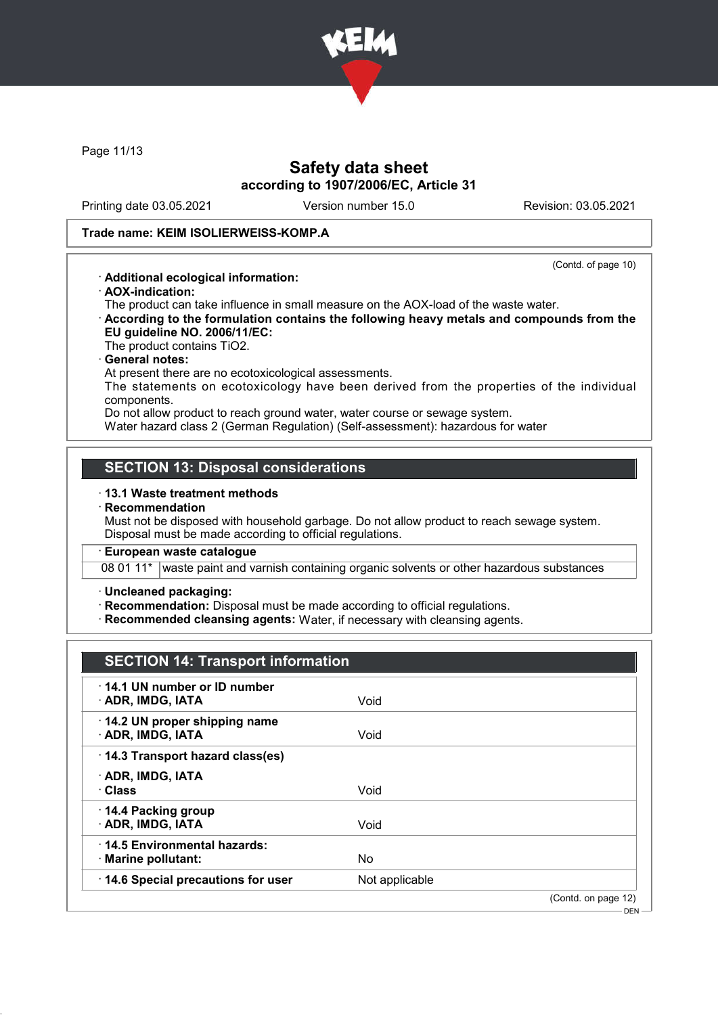

Page 11/13

## Safety data sheet according to 1907/2006/EC, Article 31

Printing date 03.05.2021 Version number 15.0 Revision: 03.05.2021

(Contd. of page 10)

#### Trade name: KEIM ISOLIERWEISS-KOMP.A

#### · Additional ecological information:

· AOX-indication:

The product can take influence in small measure on the AOX-load of the waste water.

· According to the formulation contains the following heavy metals and compounds from the EU guideline NO. 2006/11/EC:

The product contains TiO2.

#### General notes:

At present there are no ecotoxicological assessments.

The statements on ecotoxicology have been derived from the properties of the individual components.

Do not allow product to reach ground water, water course or sewage system.

Water hazard class 2 (German Regulation) (Self-assessment): hazardous for water

## SECTION 13: Disposal considerations

#### · 13.1 Waste treatment methods

#### **Recommendation**

Must not be disposed with household garbage. Do not allow product to reach sewage system. Disposal must be made according to official regulations.

#### European waste catalogue

08 01 11\* waste paint and varnish containing organic solvents or other hazardous substances

· Uncleaned packaging:

· Recommendation: Disposal must be made according to official regulations.

· Recommended cleansing agents: Water, if necessary with cleansing agents.

# SECTION 14: Transport information

| 14.1 UN number or ID number<br>· ADR, IMDG, IATA   | Void           |                     |
|----------------------------------------------------|----------------|---------------------|
| 14.2 UN proper shipping name<br>· ADR, IMDG, IATA  | Void           |                     |
| 14.3 Transport hazard class(es)                    |                |                     |
| · ADR, IMDG, IATA<br>∴Class                        | Void           |                     |
| 14.4 Packing group<br>· ADR, IMDG, IATA            | Void           |                     |
| 14.5 Environmental hazards:<br>· Marine pollutant: | No.            |                     |
| 14.6 Special precautions for user                  | Not applicable |                     |
|                                                    |                | (Contd. on page 12) |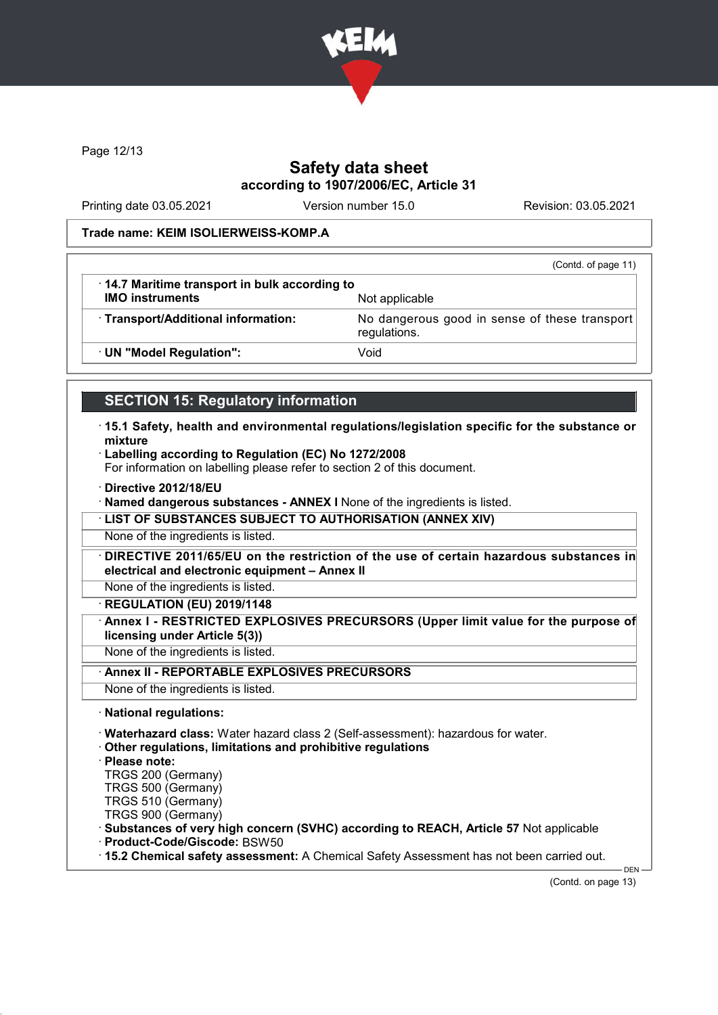

Page 12/13

## Safety data sheet according to 1907/2006/EC, Article 31

Printing date 03.05.2021 Version number 15.0 Revision: 03.05.2021

#### Trade name: KEIM ISOLIERWEISS-KOMP.A

|                                                                        | (Contd. of page 11)                                           |
|------------------------------------------------------------------------|---------------------------------------------------------------|
| 14.7 Maritime transport in bulk according to<br><b>IMO instruments</b> | Not applicable                                                |
| · Transport/Additional information:                                    | No dangerous good in sense of these transport<br>regulations. |
| · UN "Model Regulation":                                               | Void                                                          |
|                                                                        |                                                               |

## SECTION 15: Regulatory information

- · 15.1 Safety, health and environmental regulations/legislation specific for the substance or mixture
- · Labelling according to Regulation (EC) No 1272/2008

For information on labelling please refer to section 2 of this document.

· Directive 2012/18/EU

· Named dangerous substances - ANNEX I None of the ingredients is listed.

· LIST OF SUBSTANCES SUBJECT TO AUTHORISATION (ANNEX XIV)

None of the ingredients is listed.

· DIRECTIVE 2011/65/EU on the restriction of the use of certain hazardous substances in electrical and electronic equipment – Annex II

None of the ingredients is listed.

· REGULATION (EU) 2019/1148

Annex I - RESTRICTED EXPLOSIVES PRECURSORS (Upper limit value for the purpose of licensing under Article 5(3))

None of the ingredients is listed.

Annex II - REPORTABLE EXPLOSIVES PRECURSORS

None of the ingredients is listed.

· National regulations:

· Waterhazard class: Water hazard class 2 (Self-assessment): hazardous for water.

· Other regulations, limitations and prohibitive regulations

· Please note:

TRGS 200 (Germany)

TRGS 500 (Germany) TRGS 510 (Germany)

TRGS 900 (Germany)

· Substances of very high concern (SVHC) according to REACH, Article 57 Not applicable

· Product-Code/Giscode: BSW50

· 15.2 Chemical safety assessment: A Chemical Safety Assessment has not been carried out.

(Contd. on page 13)

DEN